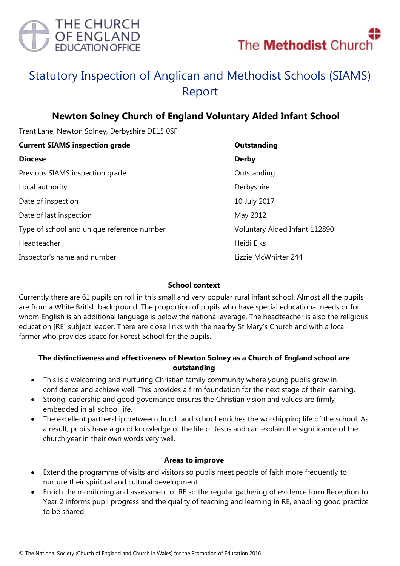



# Statutory Inspection of Anglican and Methodist Schools (SIAMS) Report

| <b>Newton Solney Church of England Voluntary Aided Infant School</b> |                               |
|----------------------------------------------------------------------|-------------------------------|
| Trent Lane, Newton Solney, Derbyshire DE15 0SF                       |                               |
| <b>Current SIAMS inspection grade</b>                                | Outstanding                   |
| <b>Diocese</b>                                                       | <b>Derby</b>                  |
| Previous SIAMS inspection grade                                      | Outstanding                   |
| Local authority                                                      | Derbyshire                    |
| Date of inspection                                                   | 10 July 2017                  |
| Date of last inspection                                              | May 2012                      |
| Type of school and unique reference number                           | Voluntary Aided Infant 112890 |
| Headteacher                                                          | Heidi Elks                    |
| Inspector's name and number                                          | Lizzie McWhirter 244          |

#### **School context**

Currently there are 61 pupils on roll in this small and very popular rural infant school. Almost all the pupils are from a White British background. The proportion of pupils who have special educational needs or for whom English is an additional language is below the national average. The headteacher is also the religious education [RE] subject leader. There are close links with the nearby St Mary's Church and with a local farmer who provides space for Forest School for the pupils.

### **The distinctiveness and effectiveness of Newton Solney as a Church of England school are outstanding**

- This is a welcoming and nurturing Christian family community where young pupils grow in confidence and achieve well. This provides a firm foundation for the next stage of their learning.
- Strong leadership and good governance ensures the Christian vision and values are firmly embedded in all school life.
- The excellent partnership between church and school enriches the worshipping life of the school. As a result, pupils have a good knowledge of the life of Jesus and can explain the significance of the church year in their own words very well.

#### **Areas to improve**

- Extend the programme of visits and visitors so pupils meet people of faith more frequently to nurture their spiritual and cultural development.
- Enrich the monitoring and assessment of RE so the regular gathering of evidence form Reception to Year 2 informs pupil progress and the quality of teaching and learning in RE, enabling good practice to be shared.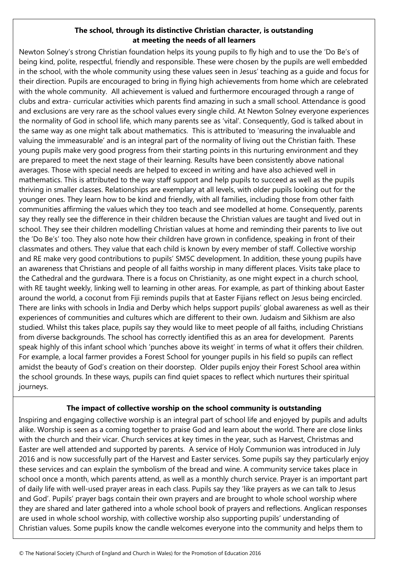## **The school, through its distinctive Christian character, is outstanding at meeting the needs of all learners**

Newton Solney's strong Christian foundation helps its young pupils to fly high and to use the 'Do Be's of being kind, polite, respectful, friendly and responsible. These were chosen by the pupils are well embedded in the school, with the whole community using these values seen in Jesus' teaching as a guide and focus for their direction. Pupils are encouraged to bring in flying high achievements from home which are celebrated with the whole community. All achievement is valued and furthermore encouraged through a range of clubs and extra- curricular activities which parents find amazing in such a small school. Attendance is good and exclusions are very rare as the school values every single child. At Newton Solney everyone experiences the normality of God in school life, which many parents see as 'vital'. Consequently, God is talked about in the same way as one might talk about mathematics. This is attributed to 'measuring the invaluable and valuing the immeasurable' and is an integral part of the normality of living out the Christian faith. These young pupils make very good progress from their starting points in this nurturing environment and they are prepared to meet the next stage of their learning. Results have been consistently above national averages. Those with special needs are helped to exceed in writing and have also achieved well in mathematics. This is attributed to the way staff support and help pupils to succeed as well as the pupils thriving in smaller classes. Relationships are exemplary at all levels, with older pupils looking out for the younger ones. They learn how to be kind and friendly, with all families, including those from other faith communities affirming the values which they too teach and see modelled at home. Consequently, parents say they really see the difference in their children because the Christian values are taught and lived out in school. They see their children modelling Christian values at home and reminding their parents to live out the 'Do Be's' too. They also note how their children have grown in confidence, speaking in front of their classmates and others. They value that each child is known by every member of staff. Collective worship and RE make very good contributions to pupils' SMSC development. In addition, these young pupils have an awareness that Christians and people of all faiths worship in many different places. Visits take place to the Cathedral and the gurdwara. There is a focus on Christianity, as one might expect in a church school, with RE taught weekly, linking well to learning in other areas. For example, as part of thinking about Easter around the world, a coconut from Fiji reminds pupils that at Easter Fijians reflect on Jesus being encircled. There are links with schools in India and Derby which helps support pupils' global awareness as well as their experiences of communities and cultures which are different to their own. Judaism and Sikhism are also studied. Whilst this takes place, pupils say they would like to meet people of all faiths, including Christians from diverse backgrounds. The school has correctly identified this as an area for development. Parents speak highly of this infant school which 'punches above its weight' in terms of what it offers their children. For example, a local farmer provides a Forest School for younger pupils in his field so pupils can reflect amidst the beauty of God's creation on their doorstep. Older pupils enjoy their Forest School area within the school grounds. In these ways, pupils can find quiet spaces to reflect which nurtures their spiritual journeys.

# **The impact of collective worship on the school community is outstanding**

Inspiring and engaging collective worship is an integral part of school life and enjoyed by pupils and adults alike. Worship is seen as a coming together to praise God and learn about the world. There are close links with the church and their vicar. Church services at key times in the year, such as Harvest, Christmas and Easter are well attended and supported by parents. A service of Holy Communion was introduced in July 2016 and is now successfully part of the Harvest and Easter services. Some pupils say they particularly enjoy these services and can explain the symbolism of the bread and wine. A community service takes place in school once a month, which parents attend, as well as a monthly church service. Prayer is an important part of daily life with well-used prayer areas in each class. Pupils say they 'like prayers as we can talk to Jesus and God'. Pupils' prayer bags contain their own prayers and are brought to whole school worship where they are shared and later gathered into a whole school book of prayers and reflections. Anglican responses are used in whole school worship, with collective worship also supporting pupils' understanding of Christian values. Some pupils know the candle welcomes everyone into the community and helps them to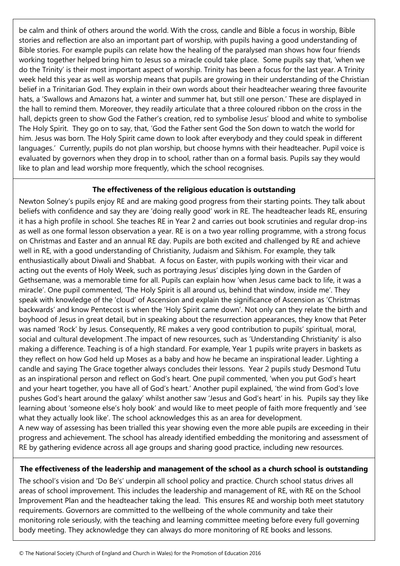be calm and think of others around the world. With the cross, candle and Bible a focus in worship, Bible stories and reflection are also an important part of worship, with pupils having a good understanding of Bible stories. For example pupils can relate how the healing of the paralysed man shows how four friends working together helped bring him to Jesus so a miracle could take place. Some pupils say that, 'when we do the Trinity' is their most important aspect of worship. Trinity has been a focus for the last year. A Trinity week held this year as well as worship means that pupils are growing in their understanding of the Christian belief in a Trinitarian God. They explain in their own words about their headteacher wearing three favourite hats, a 'Swallows and Amazons hat, a winter and summer hat, but still one person.' These are displayed in the hall to remind them. Moreover, they readily articulate that a three coloured ribbon on the cross in the hall, depicts green to show God the Father's creation, red to symbolise Jesus' blood and white to symbolise The Holy Spirit. They go on to say, that, 'God the Father sent God the Son down to watch the world for him. Jesus was born. The Holy Spirit came down to look after everybody and they could speak in different languages.' Currently, pupils do not plan worship, but choose hymns with their headteacher. Pupil voice is evaluated by governors when they drop in to school, rather than on a formal basis. Pupils say they would like to plan and lead worship more frequently, which the school recognises.

### **The effectiveness of the religious education is outstanding**

Newton Solney's pupils enjoy RE and are making good progress from their starting points. They talk about beliefs with confidence and say they are 'doing really good' work in RE. The headteacher leads RE, ensuring it has a high profile in school. She teaches RE in Year 2 and carries out book scrutinies and regular drop-ins as well as one formal lesson observation a year. RE is on a two year rolling programme, with a strong focus on Christmas and Easter and an annual RE day. Pupils are both excited and challenged by RE and achieve well in RE, with a good understanding of Christianity, Judaism and Sikhism. For example, they talk enthusiastically about Diwali and Shabbat. A focus on Easter, with pupils working with their vicar and acting out the events of Holy Week, such as portraying Jesus' disciples lying down in the Garden of Gethsemane, was a memorable time for all. Pupils can explain how 'when Jesus came back to life, it was a miracle'. One pupil commented, 'The Holy Spirit is all around us, behind that window, inside me'. They speak with knowledge of the 'cloud' of Ascension and explain the significance of Ascension as 'Christmas backwards' and know Pentecost is when the 'Holy Spirit came down'. Not only can they relate the birth and boyhood of Jesus in great detail, but in speaking about the resurrection appearances, they know that Peter was named 'Rock' by Jesus. Consequently, RE makes a very good contribution to pupils' spiritual, moral, social and cultural development .The impact of new resources, such as 'Understanding Christianity' is also making a difference. Teaching is of a high standard. For example, Year 1 pupils write prayers in baskets as they reflect on how God held up Moses as a baby and how he became an inspirational leader. Lighting a candle and saying The Grace together always concludes their lessons. Year 2 pupils study Desmond Tutu as an inspirational person and reflect on God's heart. One pupil commented, 'when you put God's heart and your heart together, you have all of God's heart.' Another pupil explained, 'the wind from God's love pushes God's heart around the galaxy' whilst another saw 'Jesus and God's heart' in his. Pupils say they like learning about 'someone else's holy book' and would like to meet people of faith more frequently and 'see what they actually look like'. The school acknowledges this as an area for development.

A new way of assessing has been trialled this year showing even the more able pupils are exceeding in their progress and achievement. The school has already identified embedding the monitoring and assessment of RE by gathering evidence across all age groups and sharing good practice, including new resources.

# **The effectiveness of the leadership and management of the school as a church school is outstanding**

The school's vision and 'Do Be's' underpin all school policy and practice. Church school status drives all areas of school improvement. This includes the leadership and management of RE, with RE on the School Improvement Plan and the headteacher taking the lead. This ensures RE and worship both meet statutory requirements. Governors are committed to the wellbeing of the whole community and take their monitoring role seriously, with the teaching and learning committee meeting before every full governing body meeting. They acknowledge they can always do more monitoring of RE books and lessons.